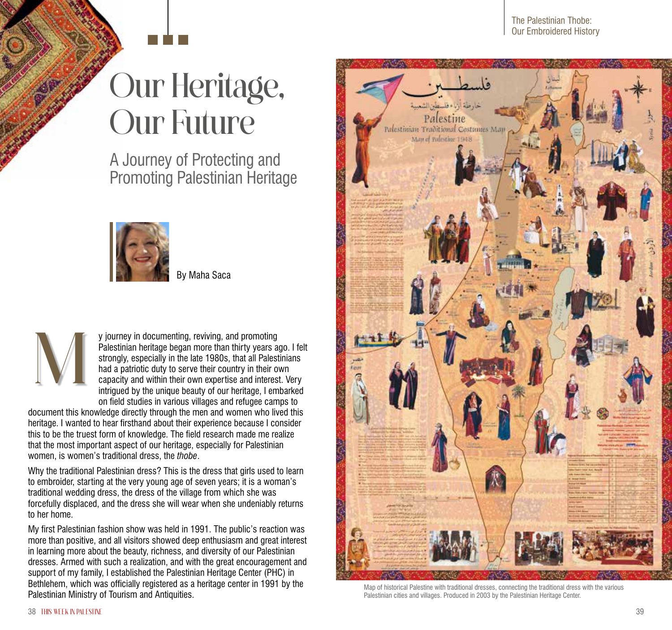## Our Heritage, Our Future

A Journey of Protecting and Promoting Palestinian Heritage



By Maha Saca



y journey in documenting, reviving, and promoting Palestinian heritage began more than thirty years ago. I felt strongly, especially in the late 1980s, that all Palestinians had a patriotic duty to serve their country in their own capacity and within their own expertise and interest. Very intrigued by the unique beauty of our heritage, I embarked on field studies in various villages and refugee camps to

document this knowledge directly through the men and women who lived this heritage. I wanted to hear firsthand about their experience because I consider this to be the truest form of knowledge. The field research made me realize that the most important aspect of our heritage, especially for Palestinian women, is women's traditional dress, the *thobe*.

Why the traditional Palestinian dress? This is the dress that girls used to learn to embroider, starting at the very young age of seven years; it is a woman's traditional wedding dress, the dress of the village from which she was forcefully displaced, and the dress she will wear when she undeniably returns to her home.

My first Palestinian fashion show was held in 1991. The public's reaction was more than positive, and all visitors showed deep enthusiasm and great interest in learning more about the beauty, richness, and diversity of our Palestinian dresses. Armed with such a realization, and with the great encouragement and support of my family, I established the Palestinian Heritage Center (PHC) in Bethlehem, which was officially registered as a heritage center in 1991 by the Palestinian Ministry of Tourism and Antiquities.



Map of historical Palestine with traditional dresses, connecting the traditional dress with the various Palestinian cities and villages. Produced in 2003 by the Palestinian Heritage Center.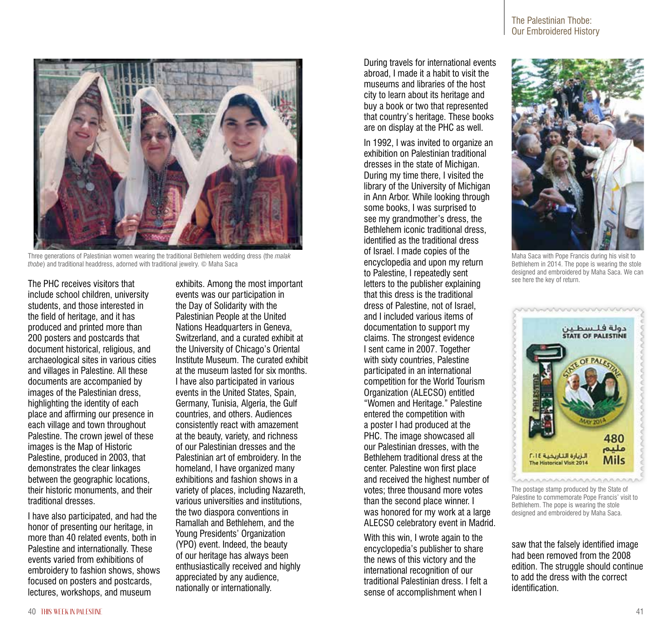

200 posters and postcards that document historical, religious, and archaeological sites in various cities and villages in Palestine. All these documents are accompanied by images of the Palestinian dress, highlighting the identity of each place and affirming our presence in each village and town throughout Palestine. The crown jewel of these images is the Map of Historic Palestine, produced in 2003, that demonstrates the clear linkages between the geographic locations, their historic monuments, and their traditional dresses. I have also participated, and had the

The PHC receives visitors that include school children, university students, and those interested in the field of heritage, and it has produced and printed more than

honor of presenting our heritage, in more than 40 related events, both in Palestine and internationally. These events varied from exhibitions of embroidery to fashion shows, shows focused on posters and postcards, lectures, workshops, and museum

exhibits. Among the most important events was our participation in the Day of Solidarity with the Palestinian People at the United Nations Headquarters in Geneva, Switzerland, and a curated exhibit at the University of Chicago's Oriental Institute Museum. The curated exhibit at the museum lasted for six months. I have also participated in various events in the United States, Spain, Germany, Tunisia, Algeria, the Gulf countries, and others. Audiences consistently react with amazement at the beauty, variety, and richness of our Palestinian dresses and the Palestinian art of embroidery. In the homeland, I have organized many exhibitions and fashion shows in a variety of places, including Nazareth, various universities and institutions, the two diaspora conventions in Ramallah and Bethlehem, and the Young Presidents' Organization (YPO) event. Indeed, the beauty of our heritage has always been enthusiastically received and highly appreciated by any audience, nationally or internationally.

During travels for international events abroad, I made it a habit to visit the museums and libraries of the host city to learn about its heritage and buy a book or two that represented that country's heritage. These books are on display at the PHC as well.

In 1992, I was invited to organize an exhibition on Palestinian traditional dresses in the state of Michigan. During my time there, I visited the library of the University of Michigan in Ann Arbor. While looking through some books, I was surprised to see my grandmother's dress, the Bethlehem iconic traditional dress, identified as the traditional dress of Israel. I made copies of the encyclopedia and upon my return to Palestine, I repeatedly sent letters to the publisher explaining that this dress is the traditional dress of Palestine, not of Israel, and I included various items of documentation to support my claims. The strongest evidence I sent came in 2007. Together with sixty countries. Palestine participated in an international competition for the World Tourism Organization (ALECSO) entitled "Women and Heritage." Palestine entered the competition with a poster I had produced at the PHC. The image showcased all our Palestinian dresses, with the Bethlehem traditional dress at the center. Palestine won first place and received the highest number of votes; three thousand more votes than the second place winner. I was honored for my work at a large ALECSO celebratory event in Madrid.

With this win, I wrote again to the encyclopedia's publisher to share the news of this victory and the international recognition of our traditional Palestinian dress. I felt a sense of accomplishment when I

Maha Saca with Pope Francis during his visit to Bethlehem in 2014. The pope is wearing the stole designed and embroidered by Maha Saca. We can see here the key of return.

Accompanding

دولة فـلــسطـيـن<br>STATE OF PALESTINE

480 مليم

Mils



الزيارة التأريخية ٢٠١٤

**Historical Visit 2014** 

saw that the falsely identified image had been removed from the 2008 edition. The struggle should continue to add the dress with the correct identification.

Three generations of Palestinian women wearing the traditional Bethlehem wedding dress (the *malak thobe*) and traditional headdress, adorned with traditional jewelry. © Maha Saca





The Palestinian Thobe: Our Embroidered History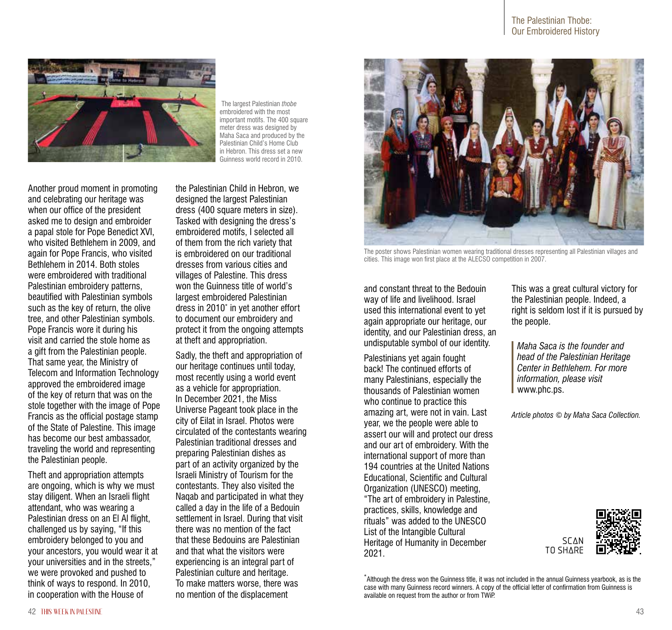

 The largest Palestinian *thobe* embroidered with the most important motifs. The 400 square meter dress was designed by Maha Saca and produced by the Palestinian Child's Home Club in Hebron. This dress set a new Guinness world record in 2010.

Another proud moment in promoting and celebrating our heritage was when our office of the president asked me to design and embroider a papal stole for Pope Benedict XVI, who visited Bethlehem in 2009, and again for Pope Francis, who visited Bethlehem in 2014. Both stoles were embroidered with traditional Palestinian embroidery patterns, beautified with Palestinian symbols such as the key of return, the olive tree, and other Palestinian symbols. Pope Francis wore it during his visit and carried the stole home as a gift from the Palestinian people. That same year, the Ministry of Telecom and Information Technology approved the embroidered image of the key of return that was on the stole together with the image of Pope Francis as the official postage stamp of the State of Palestine. This image has become our best ambassador, traveling the world and representing the Palestinian people.

Theft and appropriation attempts are ongoing, which is why we must stay diligent. When an Israeli flight attendant, who was wearing a Palestinian dress on an El Al flight, challenged us by saying, "If this embroidery belonged to you and your ancestors, you would wear it at your universities and in the streets," we were provoked and pushed to think of ways to respond. In 2010, in cooperation with the House of

the Palestinian Child in Hebron, we designed the largest Palestinian dress (400 square meters in size). Tasked with designing the dress's embroidered motifs, I selected all of them from the rich variety that is embroidered on our traditional dresses from various cities and villages of Palestine. This dress won the Guinness title of world's largest embroidered Palestinian dress in 2010\* in yet another effort to document our embroidery and protect it from the ongoing attempts at theft and appropriation.

Sadly, the theft and appropriation of our heritage continues until today, most recently using a world event as a vehicle for appropriation. In December 2021, the Miss Universe Pageant took place in the city of Eilat in Israel. Photos were circulated of the contestants wearing Palestinian traditional dresses and preparing Palestinian dishes as part of an activity organized by the Israeli Ministry of Tourism for the contestants. They also visited the Naqab and participated in what they called a day in the life of a Bedouin settlement in Israel. During that visit there was no mention of the fact that these Bedouins are Palestinian and that what the visitors were experiencing is an integral part of Palestinian culture and heritage. To make matters worse, there was no mention of the displacement



The poster shows Palestinian women wearing traditional dresses representing all Palestinian villages and cities. This image won first place at the ALECSO competition in 2007.

and constant threat to the Bedouin way of life and livelihood. Israel used this international event to yet again appropriate our heritage, our identity, and our Palestinian dress, an undisputable symbol of our identity.

Palestinians yet again fought back! The continued efforts of many Palestinians, especially the thousands of Palestinian women who continue to practice this amazing art, were not in vain. Last year, we the people were able to assert our will and protect our dress and our art of embroidery. With the international support of more than 194 countries at the United Nations Educational, Scientific and Cultural Organization (UNESCO) meeting, "The art of embroidery in Palestine, practices, skills, knowledge and rituals" was added to the UNESCO List of the Intangible Cultural Heritage of Humanity in December 2021.

This was a great cultural victory for the Palestinian people. Indeed, a right is seldom lost if it is pursued by the people.

*Maha Saca is the founder and head of the Palestinian Heritage Center in Bethlehem. For more information, please visit* www.phc.ps.

*Article photos © by Maha Saca Collection.*





\* Although the dress won the Guinness title, it was not included in the annual Guinness yearbook, as is the case with many Guinness record winners. A copy of the official letter of confirmation from Guinness is available on request from the author or from TWiP.